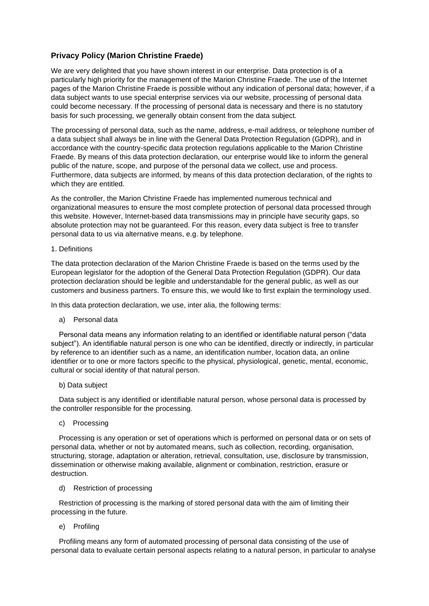# **Privacy Policy (Marion Christine Fraede)**

We are very delighted that you have shown interest in our enterprise. Data protection is of a particularly high priority for the management of the Marion Christine Fraede. The use of the Internet pages of the Marion Christine Fraede is possible without any indication of personal data; however, if a data subject wants to use special enterprise services via our website, processing of personal data could become necessary. If the processing of personal data is necessary and there is no statutory basis for such processing, we generally obtain consent from the data subject.

The processing of personal data, such as the name, address, e-mail address, or telephone number of a data subject shall always be in line with the General Data Protection Regulation (GDPR), and in accordance with the country-specific data protection regulations applicable to the Marion Christine Fraede. By means of this data protection declaration, our enterprise would like to inform the general public of the nature, scope, and purpose of the personal data we collect, use and process. Furthermore, data subjects are informed, by means of this data protection declaration, of the rights to which they are entitled.

As the controller, the Marion Christine Fraede has implemented numerous technical and organizational measures to ensure the most complete protection of personal data processed through this website. However, Internet-based data transmissions may in principle have security gaps, so absolute protection may not be guaranteed. For this reason, every data subject is free to transfer personal data to us via alternative means, e.g. by telephone.

## 1. Definitions

The data protection declaration of the Marion Christine Fraede is based on the terms used by the European legislator for the adoption of the General Data Protection Regulation (GDPR). Our data protection declaration should be legible and understandable for the general public, as well as our customers and business partners. To ensure this, we would like to first explain the terminology used.

In this data protection declaration, we use, inter alia, the following terms:

a) Personal data

 Personal data means any information relating to an identified or identifiable natural person ("data subject"). An identifiable natural person is one who can be identified, directly or indirectly, in particular by reference to an identifier such as a name, an identification number, location data, an online identifier or to one or more factors specific to the physical, physiological, genetic, mental, economic, cultural or social identity of that natural person.

b) Data subject

 Data subject is any identified or identifiable natural person, whose personal data is processed by the controller responsible for the processing.

c) Processing

 Processing is any operation or set of operations which is performed on personal data or on sets of personal data, whether or not by automated means, such as collection, recording, organisation, structuring, storage, adaptation or alteration, retrieval, consultation, use, disclosure by transmission, dissemination or otherwise making available, alignment or combination, restriction, erasure or destruction.

## d) Restriction of processing

 Restriction of processing is the marking of stored personal data with the aim of limiting their processing in the future.

e) Profiling

 Profiling means any form of automated processing of personal data consisting of the use of personal data to evaluate certain personal aspects relating to a natural person, in particular to analyse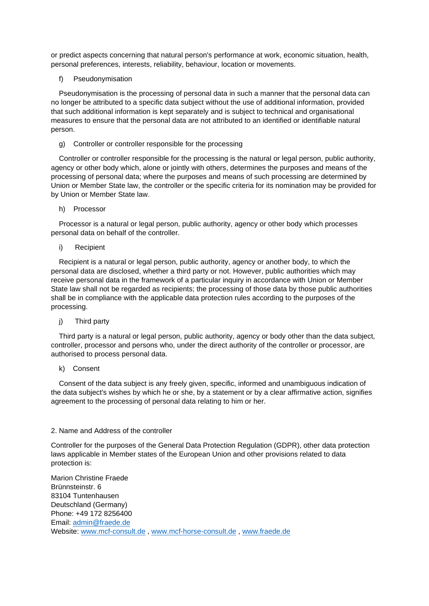or predict aspects concerning that natural person's performance at work, economic situation, health, personal preferences, interests, reliability, behaviour, location or movements.

f) Pseudonymisation

 Pseudonymisation is the processing of personal data in such a manner that the personal data can no longer be attributed to a specific data subject without the use of additional information, provided that such additional information is kept separately and is subject to technical and organisational measures to ensure that the personal data are not attributed to an identified or identifiable natural person.

g) Controller or controller responsible for the processing

 Controller or controller responsible for the processing is the natural or legal person, public authority, agency or other body which, alone or jointly with others, determines the purposes and means of the processing of personal data; where the purposes and means of such processing are determined by Union or Member State law, the controller or the specific criteria for its nomination may be provided for by Union or Member State law.

h) Processor

 Processor is a natural or legal person, public authority, agency or other body which processes personal data on behalf of the controller.

i) Recipient

 Recipient is a natural or legal person, public authority, agency or another body, to which the personal data are disclosed, whether a third party or not. However, public authorities which may receive personal data in the framework of a particular inquiry in accordance with Union or Member State law shall not be regarded as recipients; the processing of those data by those public authorities shall be in compliance with the applicable data protection rules according to the purposes of the processing.

j) Third party

 Third party is a natural or legal person, public authority, agency or body other than the data subject, controller, processor and persons who, under the direct authority of the controller or processor, are authorised to process personal data.

k) Consent

 Consent of the data subject is any freely given, specific, informed and unambiguous indication of the data subject's wishes by which he or she, by a statement or by a clear affirmative action, signifies agreement to the processing of personal data relating to him or her.

### 2. Name and Address of the controller

Controller for the purposes of the General Data Protection Regulation (GDPR), other data protection laws applicable in Member states of the European Union and other provisions related to data protection is:

Marion Christine Fraede Brünnsteinstr. 6 83104 Tuntenhausen Deutschland (Germany) Phone: +49 172 8256400 Email: [admin@fraede.de](mailto:admin@fraede.de) Website: [www.mcf-consult.de](http://www.mcf-consult.de/) , [www.mcf-horse-consult.de](http://www.mcf-horse-consult.de/) , [www.fraede.de](http://www.fraede.de/)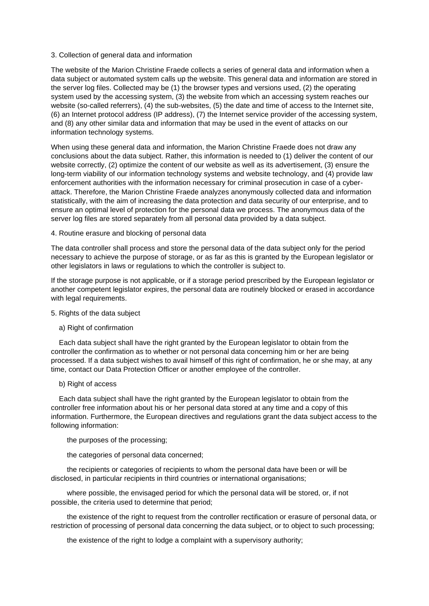#### 3. Collection of general data and information

The website of the Marion Christine Fraede collects a series of general data and information when a data subject or automated system calls up the website. This general data and information are stored in the server log files. Collected may be (1) the browser types and versions used, (2) the operating system used by the accessing system, (3) the website from which an accessing system reaches our website (so-called referrers), (4) the sub-websites, (5) the date and time of access to the Internet site, (6) an Internet protocol address (IP address), (7) the Internet service provider of the accessing system, and (8) any other similar data and information that may be used in the event of attacks on our information technology systems.

When using these general data and information, the Marion Christine Fraede does not draw any conclusions about the data subject. Rather, this information is needed to (1) deliver the content of our website correctly, (2) optimize the content of our website as well as its advertisement, (3) ensure the long-term viability of our information technology systems and website technology, and (4) provide law enforcement authorities with the information necessary for criminal prosecution in case of a cyberattack. Therefore, the Marion Christine Fraede analyzes anonymously collected data and information statistically, with the aim of increasing the data protection and data security of our enterprise, and to ensure an optimal level of protection for the personal data we process. The anonymous data of the server log files are stored separately from all personal data provided by a data subject.

### 4. Routine erasure and blocking of personal data

The data controller shall process and store the personal data of the data subject only for the period necessary to achieve the purpose of storage, or as far as this is granted by the European legislator or other legislators in laws or regulations to which the controller is subject to.

If the storage purpose is not applicable, or if a storage period prescribed by the European legislator or another competent legislator expires, the personal data are routinely blocked or erased in accordance with legal requirements.

#### 5. Rights of the data subject

### a) Right of confirmation

 Each data subject shall have the right granted by the European legislator to obtain from the controller the confirmation as to whether or not personal data concerning him or her are being processed. If a data subject wishes to avail himself of this right of confirmation, he or she may, at any time, contact our Data Protection Officer or another employee of the controller.

### b) Right of access

 Each data subject shall have the right granted by the European legislator to obtain from the controller free information about his or her personal data stored at any time and a copy of this information. Furthermore, the European directives and regulations grant the data subject access to the following information:

#### the purposes of the processing;

the categories of personal data concerned;

 the recipients or categories of recipients to whom the personal data have been or will be disclosed, in particular recipients in third countries or international organisations;

 where possible, the envisaged period for which the personal data will be stored, or, if not possible, the criteria used to determine that period;

 the existence of the right to request from the controller rectification or erasure of personal data, or restriction of processing of personal data concerning the data subject, or to object to such processing;

the existence of the right to lodge a complaint with a supervisory authority;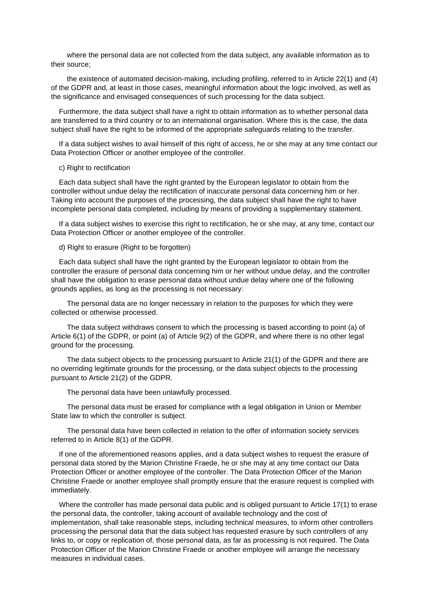where the personal data are not collected from the data subject, any available information as to their source;

 the existence of automated decision-making, including profiling, referred to in Article 22(1) and (4) of the GDPR and, at least in those cases, meaningful information about the logic involved, as well as the significance and envisaged consequences of such processing for the data subject.

 Furthermore, the data subject shall have a right to obtain information as to whether personal data are transferred to a third country or to an international organisation. Where this is the case, the data subject shall have the right to be informed of the appropriate safeguards relating to the transfer.

 If a data subject wishes to avail himself of this right of access, he or she may at any time contact our Data Protection Officer or another employee of the controller.

#### c) Right to rectification

 Each data subject shall have the right granted by the European legislator to obtain from the controller without undue delay the rectification of inaccurate personal data concerning him or her. Taking into account the purposes of the processing, the data subject shall have the right to have incomplete personal data completed, including by means of providing a supplementary statement.

 If a data subject wishes to exercise this right to rectification, he or she may, at any time, contact our Data Protection Officer or another employee of the controller.

d) Right to erasure (Right to be forgotten)

 Each data subject shall have the right granted by the European legislator to obtain from the controller the erasure of personal data concerning him or her without undue delay, and the controller shall have the obligation to erase personal data without undue delay where one of the following grounds applies, as long as the processing is not necessary:

 The personal data are no longer necessary in relation to the purposes for which they were collected or otherwise processed.

 The data subject withdraws consent to which the processing is based according to point (a) of Article 6(1) of the GDPR, or point (a) of Article 9(2) of the GDPR, and where there is no other legal ground for the processing.

 The data subject objects to the processing pursuant to Article 21(1) of the GDPR and there are no overriding legitimate grounds for the processing, or the data subject objects to the processing pursuant to Article 21(2) of the GDPR.

The personal data have been unlawfully processed.

 The personal data must be erased for compliance with a legal obligation in Union or Member State law to which the controller is subject.

 The personal data have been collected in relation to the offer of information society services referred to in Article 8(1) of the GDPR.

 If one of the aforementioned reasons applies, and a data subject wishes to request the erasure of personal data stored by the Marion Christine Fraede, he or she may at any time contact our Data Protection Officer or another employee of the controller. The Data Protection Officer of the Marion Christine Fraede or another employee shall promptly ensure that the erasure request is complied with immediately.

 Where the controller has made personal data public and is obliged pursuant to Article 17(1) to erase the personal data, the controller, taking account of available technology and the cost of implementation, shall take reasonable steps, including technical measures, to inform other controllers processing the personal data that the data subject has requested erasure by such controllers of any links to, or copy or replication of, those personal data, as far as processing is not required. The Data Protection Officer of the Marion Christine Fraede or another employee will arrange the necessary measures in individual cases.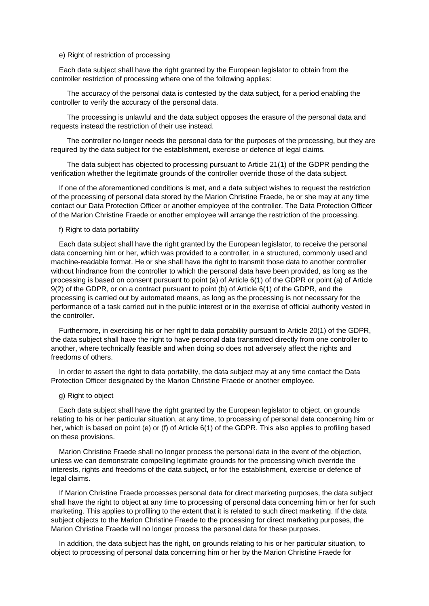#### e) Right of restriction of processing

 Each data subject shall have the right granted by the European legislator to obtain from the controller restriction of processing where one of the following applies:

 The accuracy of the personal data is contested by the data subject, for a period enabling the controller to verify the accuracy of the personal data.

 The processing is unlawful and the data subject opposes the erasure of the personal data and requests instead the restriction of their use instead.

 The controller no longer needs the personal data for the purposes of the processing, but they are required by the data subject for the establishment, exercise or defence of legal claims.

 The data subject has objected to processing pursuant to Article 21(1) of the GDPR pending the verification whether the legitimate grounds of the controller override those of the data subject.

 If one of the aforementioned conditions is met, and a data subject wishes to request the restriction of the processing of personal data stored by the Marion Christine Fraede, he or she may at any time contact our Data Protection Officer or another employee of the controller. The Data Protection Officer of the Marion Christine Fraede or another employee will arrange the restriction of the processing.

#### f) Right to data portability

 Each data subject shall have the right granted by the European legislator, to receive the personal data concerning him or her, which was provided to a controller, in a structured, commonly used and machine-readable format. He or she shall have the right to transmit those data to another controller without hindrance from the controller to which the personal data have been provided, as long as the processing is based on consent pursuant to point (a) of Article 6(1) of the GDPR or point (a) of Article 9(2) of the GDPR, or on a contract pursuant to point (b) of Article 6(1) of the GDPR, and the processing is carried out by automated means, as long as the processing is not necessary for the performance of a task carried out in the public interest or in the exercise of official authority vested in the controller.

 Furthermore, in exercising his or her right to data portability pursuant to Article 20(1) of the GDPR, the data subject shall have the right to have personal data transmitted directly from one controller to another, where technically feasible and when doing so does not adversely affect the rights and freedoms of others.

 In order to assert the right to data portability, the data subject may at any time contact the Data Protection Officer designated by the Marion Christine Fraede or another employee.

#### g) Right to object

 Each data subject shall have the right granted by the European legislator to object, on grounds relating to his or her particular situation, at any time, to processing of personal data concerning him or her, which is based on point (e) or (f) of Article 6(1) of the GDPR. This also applies to profiling based on these provisions.

 Marion Christine Fraede shall no longer process the personal data in the event of the objection, unless we can demonstrate compelling legitimate grounds for the processing which override the interests, rights and freedoms of the data subject, or for the establishment, exercise or defence of legal claims.

 If Marion Christine Fraede processes personal data for direct marketing purposes, the data subject shall have the right to object at any time to processing of personal data concerning him or her for such marketing. This applies to profiling to the extent that it is related to such direct marketing. If the data subject objects to the Marion Christine Fraede to the processing for direct marketing purposes, the Marion Christine Fraede will no longer process the personal data for these purposes.

 In addition, the data subject has the right, on grounds relating to his or her particular situation, to object to processing of personal data concerning him or her by the Marion Christine Fraede for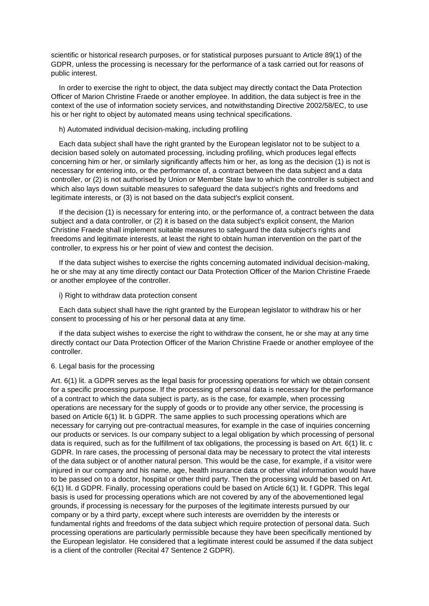scientific or historical research purposes, or for statistical purposes pursuant to Article 89(1) of the GDPR, unless the processing is necessary for the performance of a task carried out for reasons of public interest.

 In order to exercise the right to object, the data subject may directly contact the Data Protection Officer of Marion Christine Fraede or another employee. In addition, the data subject is free in the context of the use of information society services, and notwithstanding Directive 2002/58/EC, to use his or her right to object by automated means using technical specifications.

## h) Automated individual decision-making, including profiling

 Each data subject shall have the right granted by the European legislator not to be subject to a decision based solely on automated processing, including profiling, which produces legal effects concerning him or her, or similarly significantly affects him or her, as long as the decision (1) is not is necessary for entering into, or the performance of, a contract between the data subject and a data controller, or (2) is not authorised by Union or Member State law to which the controller is subject and which also lays down suitable measures to safeguard the data subject's rights and freedoms and legitimate interests, or (3) is not based on the data subject's explicit consent.

 If the decision (1) is necessary for entering into, or the performance of, a contract between the data subject and a data controller, or (2) it is based on the data subject's explicit consent, the Marion Christine Fraede shall implement suitable measures to safeguard the data subject's rights and freedoms and legitimate interests, at least the right to obtain human intervention on the part of the controller, to express his or her point of view and contest the decision.

 If the data subject wishes to exercise the rights concerning automated individual decision-making, he or she may at any time directly contact our Data Protection Officer of the Marion Christine Fraede or another employee of the controller.

#### i) Right to withdraw data protection consent

 Each data subject shall have the right granted by the European legislator to withdraw his or her consent to processing of his or her personal data at any time.

 if the data subject wishes to exercise the right to withdraw the consent, he or she may at any time directly contact our Data Protection Officer of the Marion Christine Fraede or another employee of the controller.

#### 6. Legal basis for the processing

Art. 6(1) lit. a GDPR serves as the legal basis for processing operations for which we obtain consent for a specific processing purpose. If the processing of personal data is necessary for the performance of a contract to which the data subject is party, as is the case, for example, when processing operations are necessary for the supply of goods or to provide any other service, the processing is based on Article 6(1) lit. b GDPR. The same applies to such processing operations which are necessary for carrying out pre-contractual measures, for example in the case of inquiries concerning our products or services. Is our company subject to a legal obligation by which processing of personal data is required, such as for the fulfillment of tax obligations, the processing is based on Art. 6(1) lit. c GDPR. In rare cases, the processing of personal data may be necessary to protect the vital interests of the data subject or of another natural person. This would be the case, for example, if a visitor were injured in our company and his name, age, health insurance data or other vital information would have to be passed on to a doctor, hospital or other third party. Then the processing would be based on Art. 6(1) lit. d GDPR. Finally, processing operations could be based on Article 6(1) lit. f GDPR. This legal basis is used for processing operations which are not covered by any of the abovementioned legal grounds, if processing is necessary for the purposes of the legitimate interests pursued by our company or by a third party, except where such interests are overridden by the interests or fundamental rights and freedoms of the data subject which require protection of personal data. Such processing operations are particularly permissible because they have been specifically mentioned by the European legislator. He considered that a legitimate interest could be assumed if the data subject is a client of the controller (Recital 47 Sentence 2 GDPR).